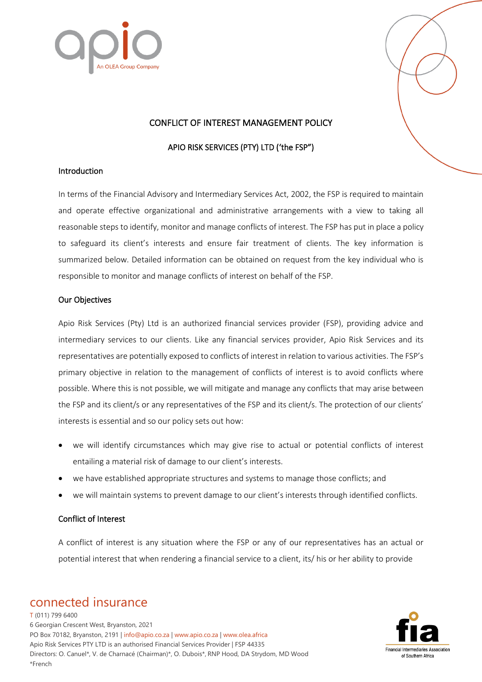



# CONFLICT OF INTEREST MANAGEMENT POLICY

# APIO RISK SERVICES (PTY) LTD ('the FSP")

### Introduction

In terms of the Financial Advisory and Intermediary Services Act, 2002, the FSP is required to maintain and operate effective organizational and administrative arrangements with a view to taking all reasonable steps to identify, monitor and manage conflicts of interest. The FSP has put in place a policy to safeguard its client's interests and ensure fair treatment of clients. The key information is summarized below. Detailed information can be obtained on request from the key individual who is responsible to monitor and manage conflicts of interest on behalf of the FSP.

#### Our Objectives

Apio Risk Services (Pty) Ltd is an authorized financial services provider (FSP), providing advice and intermediary services to our clients. Like any financial services provider, Apio Risk Services and its representatives are potentially exposed to conflicts of interest in relation to various activities. The FSP's primary objective in relation to the management of conflicts of interest is to avoid conflicts where possible. Where this is not possible, we will mitigate and manage any conflicts that may arise between the FSP and its client/s or any representatives of the FSP and its client/s. The protection of our clients' interests is essential and so our policy sets out how:

- we will identify circumstances which may give rise to actual or potential conflicts of interest entailing a material risk of damage to our client's interests.
- we have established appropriate structures and systems to manage those conflicts; and
- we will maintain systems to prevent damage to our client's interests through identified conflicts.

### Conflict of Interest

A conflict of interest is any situation where the FSP or any of our representatives has an actual or potential interest that when rendering a financial service to a client, its/ his or her ability to provide

# connected insurance

T (011) 799 6400 6 Georgian Crescent West, Bryanston, 2021 PO Box 70182, Bryanston, 2191 | info@apio.co.za | [www.apio.co.za](http://www.apio.co.za/) | www.olea.africa Apio Risk Services PTY LTD is an authorised Financial Services Provider | FSP 44335 Directors: O. Canuel\*, V. de Charnacé (Chairman)\*, O. Dubois\*, RNP Hood, DA Strydom, MD Wood \*French

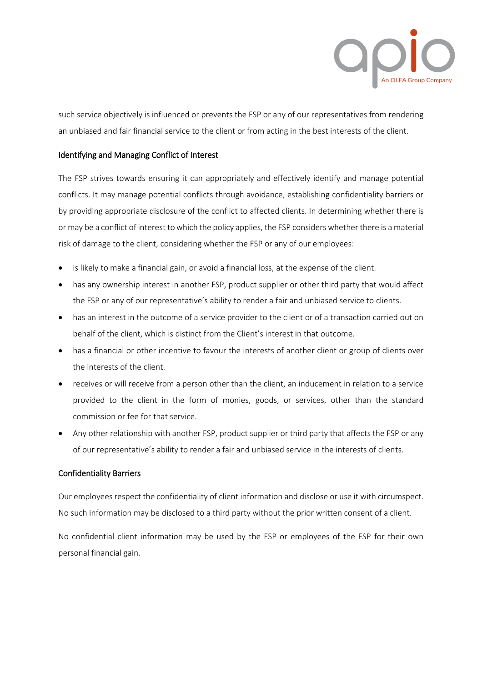

such service objectively is influenced or prevents the FSP or any of our representatives from rendering an unbiased and fair financial service to the client or from acting in the best interests of the client.

# Identifying and Managing Conflict of Interest

The FSP strives towards ensuring it can appropriately and effectively identify and manage potential conflicts. It may manage potential conflicts through avoidance, establishing confidentiality barriers or by providing appropriate disclosure of the conflict to affected clients. In determining whether there is or may be a conflict of interest to which the policy applies, the FSP considers whether there is a material risk of damage to the client, considering whether the FSP or any of our employees:

- is likely to make a financial gain, or avoid a financial loss, at the expense of the client.
- has any ownership interest in another FSP, product supplier or other third party that would affect the FSP or any of our representative's ability to render a fair and unbiased service to clients.
- has an interest in the outcome of a service provider to the client or of a transaction carried out on behalf of the client, which is distinct from the Client's interest in that outcome.
- has a financial or other incentive to favour the interests of another client or group of clients over the interests of the client.
- receives or will receive from a person other than the client, an inducement in relation to a service provided to the client in the form of monies, goods, or services, other than the standard commission or fee for that service.
- Any other relationship with another FSP, product supplier or third party that affects the FSP or any of our representative's ability to render a fair and unbiased service in the interests of clients.

### Confidentiality Barriers

Our employees respect the confidentiality of client information and disclose or use it with circumspect. No such information may be disclosed to a third party without the prior written consent of a client.

No confidential client information may be used by the FSP or employees of the FSP for their own personal financial gain.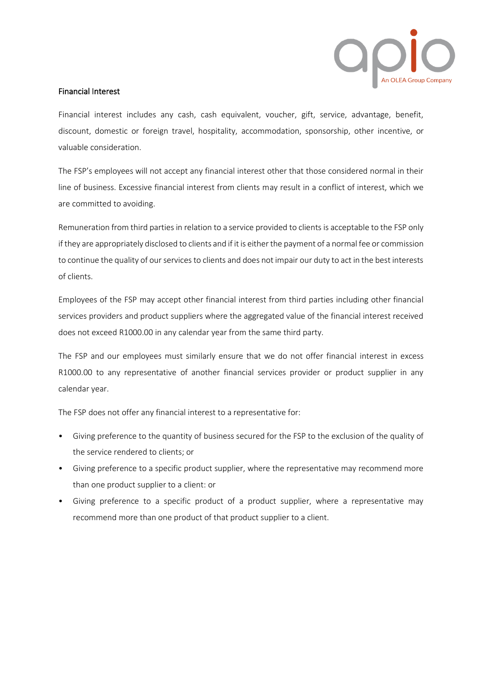

## Financial Interest

Financial interest includes any cash, cash equivalent, voucher, gift, service, advantage, benefit, discount, domestic or foreign travel, hospitality, accommodation, sponsorship, other incentive, or valuable consideration.

The FSP's employees will not accept any financial interest other that those considered normal in their line of business. Excessive financial interest from clients may result in a conflict of interest, which we are committed to avoiding.

Remuneration from third parties in relation to a service provided to clients is acceptable to the FSP only if they are appropriately disclosed to clients and if it is either the payment of a normal fee or commission to continue the quality of our services to clients and does not impair our duty to act in the best interests of clients.

Employees of the FSP may accept other financial interest from third parties including other financial services providers and product suppliers where the aggregated value of the financial interest received does not exceed R1000.00 in any calendar year from the same third party.

The FSP and our employees must similarly ensure that we do not offer financial interest in excess R1000.00 to any representative of another financial services provider or product supplier in any calendar year.

The FSP does not offer any financial interest to a representative for:

- Giving preference to the quantity of business secured for the FSP to the exclusion of the quality of the service rendered to clients; or
- Giving preference to a specific product supplier, where the representative may recommend more than one product supplier to a client: or
- Giving preference to a specific product of a product supplier, where a representative may recommend more than one product of that product supplier to a client.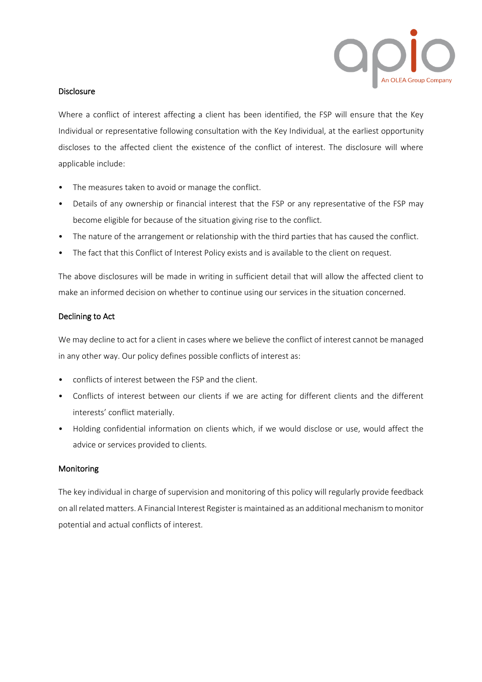

## **Disclosure**

Where a conflict of interest affecting a client has been identified, the FSP will ensure that the Key Individual or representative following consultation with the Key Individual, at the earliest opportunity discloses to the affected client the existence of the conflict of interest. The disclosure will where applicable include:

- The measures taken to avoid or manage the conflict.
- Details of any ownership or financial interest that the FSP or any representative of the FSP may become eligible for because of the situation giving rise to the conflict.
- The nature of the arrangement or relationship with the third parties that has caused the conflict.
- The fact that this Conflict of Interest Policy exists and is available to the client on request.

The above disclosures will be made in writing in sufficient detail that will allow the affected client to make an informed decision on whether to continue using our services in the situation concerned.

# Declining to Act

We may decline to act for a client in cases where we believe the conflict of interest cannot be managed in any other way. Our policy defines possible conflicts of interest as:

- conflicts of interest between the FSP and the client.
- Conflicts of interest between our clients if we are acting for different clients and the different interests' conflict materially.
- Holding confidential information on clients which, if we would disclose or use, would affect the advice or services provided to clients.

# Monitoring

The key individual in charge of supervision and monitoring of this policy will regularly provide feedback on all related matters. A Financial Interest Register is maintained as an additional mechanism to monitor potential and actual conflicts of interest.